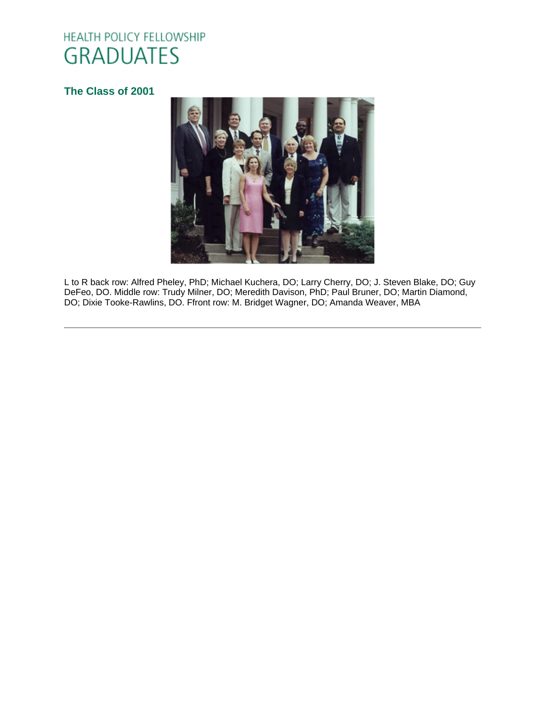# HEALTH POLICY FELLOWSHIP **GRADUATES**

# **[The Class of 2001](http://www.oucom.ohiou.edu/hpf/Graduates2012.htm)**



L to R back row: Alfred Pheley, PhD; Michael Kuchera, DO; Larry Cherry, DO; J. Steven Blake, DO; Guy DeFeo, DO. Middle row: Trudy Milner, DO; Meredith Davison, PhD; Paul Bruner, DO; Martin Diamond, DO; Dixie Tooke-Rawlins, DO. Ffront row: M. Bridget Wagner, DO; Amanda Weaver, MBA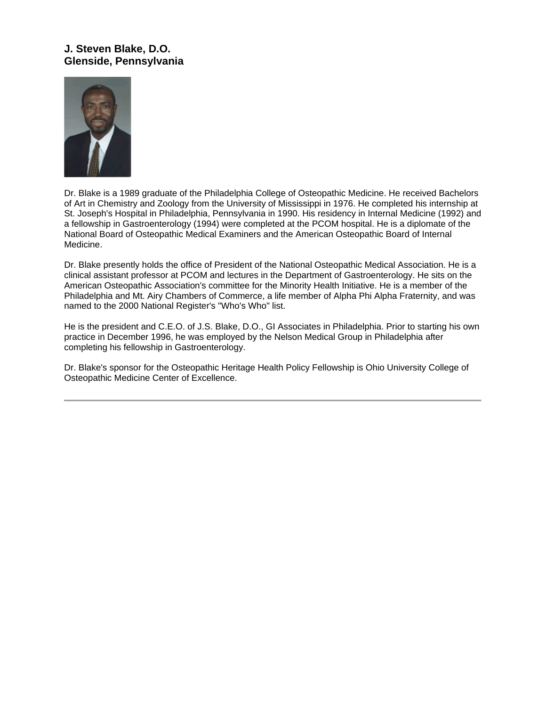# **J. Steven Blake, D.O. Glenside, Pennsylvania**



Dr. Blake is a 1989 graduate of the Philadelphia College of Osteopathic Medicine. He received Bachelors of Art in Chemistry and Zoology from the University of Mississippi in 1976. He completed his internship at St. Joseph's Hospital in Philadelphia, Pennsylvania in 1990. His residency in Internal Medicine (1992) and a fellowship in Gastroenterology (1994) were completed at the PCOM hospital. He is a diplomate of the National Board of Osteopathic Medical Examiners and the American Osteopathic Board of Internal Medicine.

Dr. Blake presently holds the office of President of the National Osteopathic Medical Association. He is a clinical assistant professor at PCOM and lectures in the Department of Gastroenterology. He sits on the American Osteopathic Association's committee for the Minority Health Initiative. He is a member of the Philadelphia and Mt. Airy Chambers of Commerce, a life member of Alpha Phi Alpha Fraternity, and was named to the 2000 National Register's "Who's Who" list.

He is the president and C.E.O. of J.S. Blake, D.O., GI Associates in Philadelphia. Prior to starting his own practice in December 1996, he was employed by the Nelson Medical Group in Philadelphia after completing his fellowship in Gastroenterology.

Dr. Blake's sponsor for the Osteopathic Heritage Health Policy Fellowship is Ohio University College of Osteopathic Medicine Center of Excellence.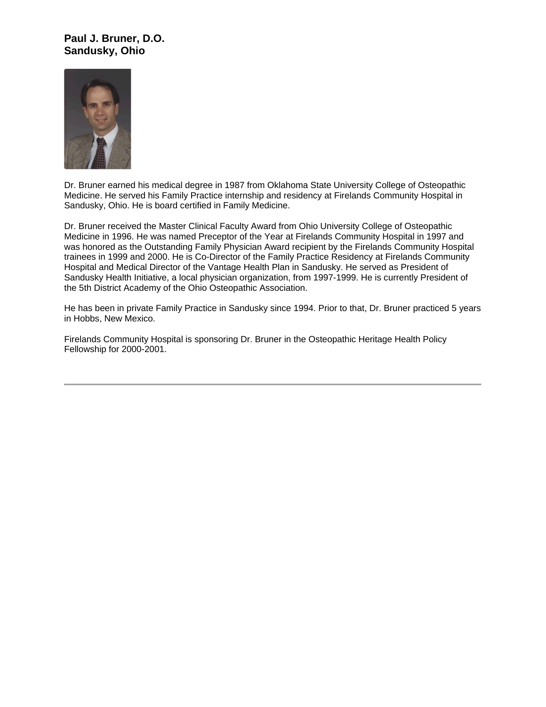## **Paul J. Bruner, D.O. Sandusky, Ohio**



Dr. Bruner earned his medical degree in 1987 from Oklahoma State University College of Osteopathic Medicine. He served his Family Practice internship and residency at Firelands Community Hospital in Sandusky, Ohio. He is board certified in Family Medicine.

Dr. Bruner received the Master Clinical Faculty Award from Ohio University College of Osteopathic Medicine in 1996. He was named Preceptor of the Year at Firelands Community Hospital in 1997 and was honored as the Outstanding Family Physician Award recipient by the Firelands Community Hospital trainees in 1999 and 2000. He is Co-Director of the Family Practice Residency at Firelands Community Hospital and Medical Director of the Vantage Health Plan in Sandusky. He served as President of Sandusky Health Initiative, a local physician organization, from 1997-1999. He is currently President of the 5th District Academy of the Ohio Osteopathic Association.

He has been in private Family Practice in Sandusky since 1994. Prior to that, Dr. Bruner practiced 5 years in Hobbs, New Mexico.

Firelands Community Hospital is sponsoring Dr. Bruner in the Osteopathic Heritage Health Policy Fellowship for 2000-2001.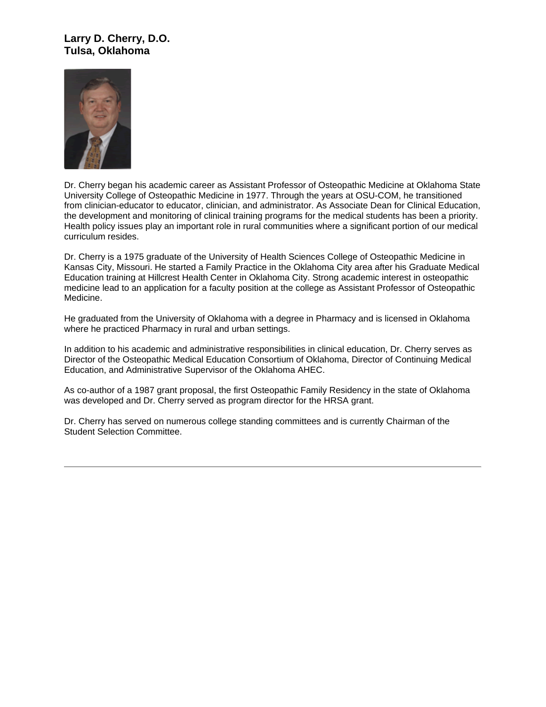#### **Larry D. Cherry, D.O. Tulsa, Oklahoma**



Dr. Cherry began his academic career as Assistant Professor of Osteopathic Medicine at Oklahoma State University College of Osteopathic Medicine in 1977. Through the years at OSU-COM, he transitioned from clinician-educator to educator, clinician, and administrator. As Associate Dean for Clinical Education, the development and monitoring of clinical training programs for the medical students has been a priority. Health policy issues play an important role in rural communities where a significant portion of our medical curriculum resides.

Dr. Cherry is a 1975 graduate of the University of Health Sciences College of Osteopathic Medicine in Kansas City, Missouri. He started a Family Practice in the Oklahoma City area after his Graduate Medical Education training at Hillcrest Health Center in Oklahoma City. Strong academic interest in osteopathic medicine lead to an application for a faculty position at the college as Assistant Professor of Osteopathic Medicine.

He graduated from the University of Oklahoma with a degree in Pharmacy and is licensed in Oklahoma where he practiced Pharmacy in rural and urban settings.

In addition to his academic and administrative responsibilities in clinical education, Dr. Cherry serves as Director of the Osteopathic Medical Education Consortium of Oklahoma, Director of Continuing Medical Education, and Administrative Supervisor of the Oklahoma AHEC.

As co-author of a 1987 grant proposal, the first Osteopathic Family Residency in the state of Oklahoma was developed and Dr. Cherry served as program director for the HRSA grant.

Dr. Cherry has served on numerous college standing committees and is currently Chairman of the Student Selection Committee.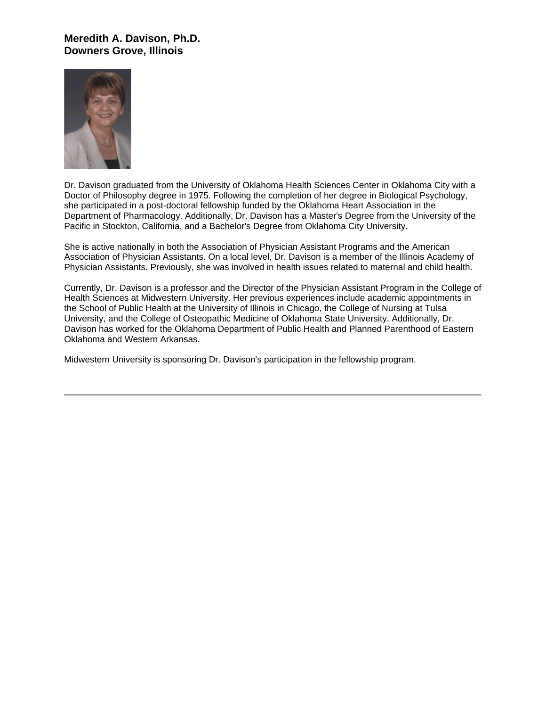#### **Meredith A. Davison, Ph.D. Downers Grove, Illinois**



Dr. Davison graduated from the University of Oklahoma Health Sciences Center in Oklahoma City with a Doctor of Philosophy degree in 1975. Following the completion of her degree in Biological Psychology, she participated in a post-doctoral fellowship funded by the Oklahoma Heart Association in the Department of Pharmacology. Additionally, Dr. Davison has a Master's Degree from the University of the Pacific in Stockton, California, and a Bachelor's Degree from Oklahoma City University.

She is active nationally in both the Association of Physician Assistant Programs and the American Association of Physician Assistants. On a local level, Dr. Davison is a member of the Illinois Academy of Physician Assistants. Previously, she was involved in health issues related to maternal and child health.

Currently, Dr. Davison is a professor and the Director of the Physician Assistant Program in the College of Health Sciences at Midwestern University. Her previous experiences include academic appointments in the School of Public Health at the University of Illinois in Chicago, the College of Nursing at Tulsa University, and the College of Osteopathic Medicine of Oklahoma State University. Additionally, Dr. Davison has worked for the Oklahoma Department of Public Health and Planned Parenthood of Eastern Oklahoma and Western Arkansas.

Midwestern University is sponsoring Dr. Davison's participation in the fellowship program.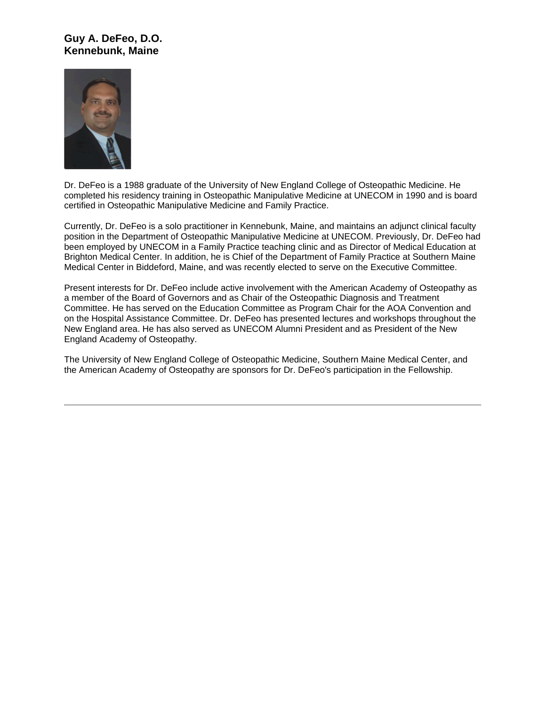## **Guy A. DeFeo, D.O. Kennebunk, Maine**



Dr. DeFeo is a 1988 graduate of the University of New England College of Osteopathic Medicine. He completed his residency training in Osteopathic Manipulative Medicine at UNECOM in 1990 and is board certified in Osteopathic Manipulative Medicine and Family Practice.

Currently, Dr. DeFeo is a solo practitioner in Kennebunk, Maine, and maintains an adjunct clinical faculty position in the Department of Osteopathic Manipulative Medicine at UNECOM. Previously, Dr. DeFeo had been employed by UNECOM in a Family Practice teaching clinic and as Director of Medical Education at Brighton Medical Center. In addition, he is Chief of the Department of Family Practice at Southern Maine Medical Center in Biddeford, Maine, and was recently elected to serve on the Executive Committee.

Present interests for Dr. DeFeo include active involvement with the American Academy of Osteopathy as a member of the Board of Governors and as Chair of the Osteopathic Diagnosis and Treatment Committee. He has served on the Education Committee as Program Chair for the AOA Convention and on the Hospital Assistance Committee. Dr. DeFeo has presented lectures and workshops throughout the New England area. He has also served as UNECOM Alumni President and as President of the New England Academy of Osteopathy.

The University of New England College of Osteopathic Medicine, Southern Maine Medical Center, and the American Academy of Osteopathy are sponsors for Dr. DeFeo's participation in the Fellowship.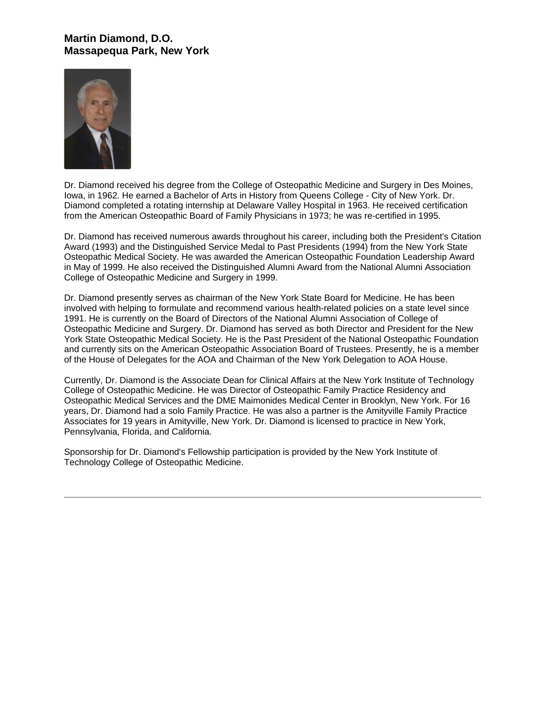## **Martin Diamond, D.O. Massapequa Park, New York**



Dr. Diamond received his degree from the College of Osteopathic Medicine and Surgery in Des Moines, Iowa, in 1962. He earned a Bachelor of Arts in History from Queens College - City of New York. Dr. Diamond completed a rotating internship at Delaware Valley Hospital in 1963. He received certification from the American Osteopathic Board of Family Physicians in 1973; he was re-certified in 1995.

Dr. Diamond has received numerous awards throughout his career, including both the President's Citation Award (1993) and the Distinguished Service Medal to Past Presidents (1994) from the New York State Osteopathic Medical Society. He was awarded the American Osteopathic Foundation Leadership Award in May of 1999. He also received the Distinguished Alumni Award from the National Alumni Association College of Osteopathic Medicine and Surgery in 1999.

Dr. Diamond presently serves as chairman of the New York State Board for Medicine. He has been involved with helping to formulate and recommend various health-related policies on a state level since 1991. He is currently on the Board of Directors of the National Alumni Association of College of Osteopathic Medicine and Surgery. Dr. Diamond has served as both Director and President for the New York State Osteopathic Medical Society. He is the Past President of the National Osteopathic Foundation and currently sits on the American Osteopathic Association Board of Trustees. Presently, he is a member of the House of Delegates for the AOA and Chairman of the New York Delegation to AOA House.

Currently, Dr. Diamond is the Associate Dean for Clinical Affairs at the New York Institute of Technology College of Osteopathic Medicine. He was Director of Osteopathic Family Practice Residency and Osteopathic Medical Services and the DME Maimonides Medical Center in Brooklyn, New York. For 16 years, Dr. Diamond had a solo Family Practice. He was also a partner is the Amityville Family Practice Associates for 19 years in Amityville, New York. Dr. Diamond is licensed to practice in New York, Pennsylvania, Florida, and California.

Sponsorship for Dr. Diamond's Fellowship participation is provided by the New York Institute of Technology College of Osteopathic Medicine.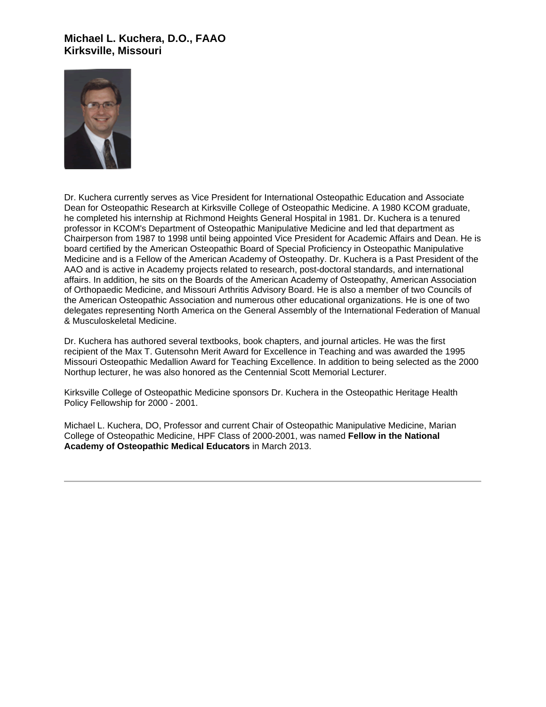## **Michael L. Kuchera, D.O., FAAO Kirksville, Missouri**



Dr. Kuchera currently serves as Vice President for International Osteopathic Education and Associate Dean for Osteopathic Research at Kirksville College of Osteopathic Medicine. A 1980 KCOM graduate, he completed his internship at Richmond Heights General Hospital in 1981. Dr. Kuchera is a tenured professor in KCOM's Department of Osteopathic Manipulative Medicine and led that department as Chairperson from 1987 to 1998 until being appointed Vice President for Academic Affairs and Dean. He is board certified by the American Osteopathic Board of Special Proficiency in Osteopathic Manipulative Medicine and is a Fellow of the American Academy of Osteopathy. Dr. Kuchera is a Past President of the AAO and is active in Academy projects related to research, post-doctoral standards, and international affairs. In addition, he sits on the Boards of the American Academy of Osteopathy, American Association of Orthopaedic Medicine, and Missouri Arthritis Advisory Board. He is also a member of two Councils of the American Osteopathic Association and numerous other educational organizations. He is one of two delegates representing North America on the General Assembly of the International Federation of Manual & Musculoskeletal Medicine.

Dr. Kuchera has authored several textbooks, book chapters, and journal articles. He was the first recipient of the Max T. Gutensohn Merit Award for Excellence in Teaching and was awarded the 1995 Missouri Osteopathic Medallion Award for Teaching Excellence. In addition to being selected as the 2000 Northup lecturer, he was also honored as the Centennial Scott Memorial Lecturer.

Kirksville College of Osteopathic Medicine sponsors Dr. Kuchera in the Osteopathic Heritage Health Policy Fellowship for 2000 - 2001.

Michael L. Kuchera, DO, Professor and current Chair of Osteopathic Manipulative Medicine, Marian College of Osteopathic Medicine, HPF Class of 2000-2001, was named **Fellow in the National Academy of Osteopathic Medical Educators** in March 2013.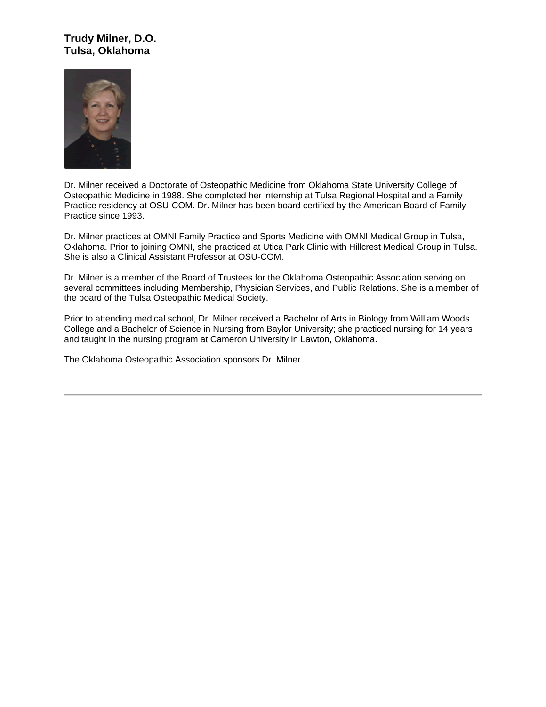## **Trudy Milner, D.O. Tulsa, Oklahoma**



Dr. Milner received a Doctorate of Osteopathic Medicine from Oklahoma State University College of Osteopathic Medicine in 1988. She completed her internship at Tulsa Regional Hospital and a Family Practice residency at OSU-COM. Dr. Milner has been board certified by the American Board of Family Practice since 1993.

Dr. Milner practices at OMNI Family Practice and Sports Medicine with OMNI Medical Group in Tulsa, Oklahoma. Prior to joining OMNI, she practiced at Utica Park Clinic with Hillcrest Medical Group in Tulsa. She is also a Clinical Assistant Professor at OSU-COM.

Dr. Milner is a member of the Board of Trustees for the Oklahoma Osteopathic Association serving on several committees including Membership, Physician Services, and Public Relations. She is a member of the board of the Tulsa Osteopathic Medical Society.

Prior to attending medical school, Dr. Milner received a Bachelor of Arts in Biology from William Woods College and a Bachelor of Science in Nursing from Baylor University; she practiced nursing for 14 years and taught in the nursing program at Cameron University in Lawton, Oklahoma.

The Oklahoma Osteopathic Association sponsors Dr. Milner.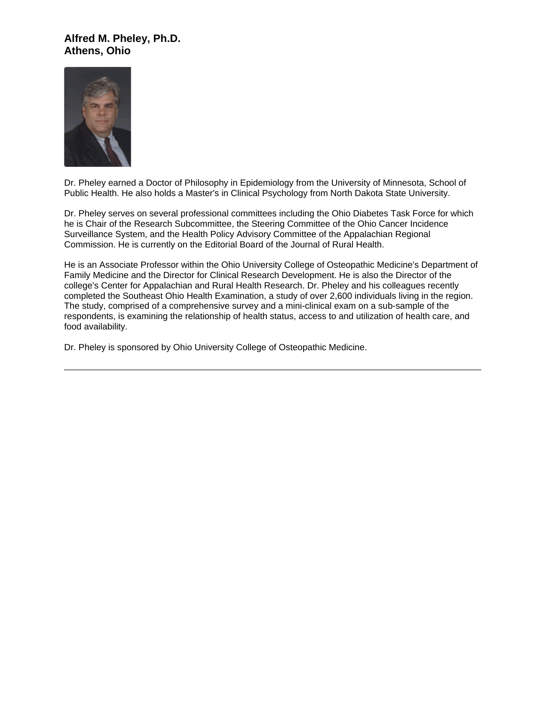#### **Alfred M. Pheley, Ph.D. Athens, Ohio**



Dr. Pheley earned a Doctor of Philosophy in Epidemiology from the University of Minnesota, School of Public Health. He also holds a Master's in Clinical Psychology from North Dakota State University.

Dr. Pheley serves on several professional committees including the Ohio Diabetes Task Force for which he is Chair of the Research Subcommittee, the Steering Committee of the Ohio Cancer Incidence Surveillance System, and the Health Policy Advisory Committee of the Appalachian Regional Commission. He is currently on the Editorial Board of the Journal of Rural Health.

He is an Associate Professor within the Ohio University College of Osteopathic Medicine's Department of Family Medicine and the Director for Clinical Research Development. He is also the Director of the college's Center for Appalachian and Rural Health Research. Dr. Pheley and his colleagues recently completed the Southeast Ohio Health Examination, a study of over 2,600 individuals living in the region. The study, comprised of a comprehensive survey and a mini-clinical exam on a sub-sample of the respondents, is examining the relationship of health status, access to and utilization of health care, and food availability.

Dr. Pheley is sponsored by Ohio University College of Osteopathic Medicine.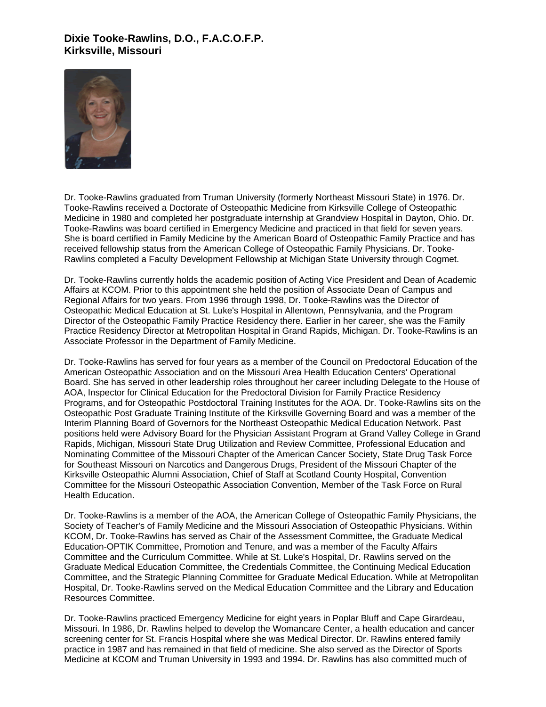## **Dixie Tooke-Rawlins, D.O., F.A.C.O.F.P. Kirksville, Missouri**



Dr. Tooke-Rawlins graduated from Truman University (formerly Northeast Missouri State) in 1976. Dr. Tooke-Rawlins received a Doctorate of Osteopathic Medicine from Kirksville College of Osteopathic Medicine in 1980 and completed her postgraduate internship at Grandview Hospital in Dayton, Ohio. Dr. Tooke-Rawlins was board certified in Emergency Medicine and practiced in that field for seven years. She is board certified in Family Medicine by the American Board of Osteopathic Family Practice and has received fellowship status from the American College of Osteopathic Family Physicians. Dr. Tooke-Rawlins completed a Faculty Development Fellowship at Michigan State University through Cogmet.

Dr. Tooke-Rawlins currently holds the academic position of Acting Vice President and Dean of Academic Affairs at KCOM. Prior to this appointment she held the position of Associate Dean of Campus and Regional Affairs for two years. From 1996 through 1998, Dr. Tooke-Rawlins was the Director of Osteopathic Medical Education at St. Luke's Hospital in Allentown, Pennsylvania, and the Program Director of the Osteopathic Family Practice Residency there. Earlier in her career, she was the Family Practice Residency Director at Metropolitan Hospital in Grand Rapids, Michigan. Dr. Tooke-Rawlins is an Associate Professor in the Department of Family Medicine.

Dr. Tooke-Rawlins has served for four years as a member of the Council on Predoctoral Education of the American Osteopathic Association and on the Missouri Area Health Education Centers' Operational Board. She has served in other leadership roles throughout her career including Delegate to the House of AOA, Inspector for Clinical Education for the Predoctoral Division for Family Practice Residency Programs, and for Osteopathic Postdoctoral Training Institutes for the AOA. Dr. Tooke-Rawlins sits on the Osteopathic Post Graduate Training Institute of the Kirksville Governing Board and was a member of the Interim Planning Board of Governors for the Northeast Osteopathic Medical Education Network. Past positions held were Advisory Board for the Physician Assistant Program at Grand Valley College in Grand Rapids, Michigan, Missouri State Drug Utilization and Review Committee, Professional Education and Nominating Committee of the Missouri Chapter of the American Cancer Society, State Drug Task Force for Southeast Missouri on Narcotics and Dangerous Drugs, President of the Missouri Chapter of the Kirksville Osteopathic Alumni Association, Chief of Staff at Scotland County Hospital, Convention Committee for the Missouri Osteopathic Association Convention, Member of the Task Force on Rural Health Education.

Dr. Tooke-Rawlins is a member of the AOA, the American College of Osteopathic Family Physicians, the Society of Teacher's of Family Medicine and the Missouri Association of Osteopathic Physicians. Within KCOM, Dr. Tooke-Rawlins has served as Chair of the Assessment Committee, the Graduate Medical Education-OPTIK Committee, Promotion and Tenure, and was a member of the Faculty Affairs Committee and the Curriculum Committee. While at St. Luke's Hospital, Dr. Rawlins served on the Graduate Medical Education Committee, the Credentials Committee, the Continuing Medical Education Committee, and the Strategic Planning Committee for Graduate Medical Education. While at Metropolitan Hospital, Dr. Tooke-Rawlins served on the Medical Education Committee and the Library and Education Resources Committee.

Dr. Tooke-Rawlins practiced Emergency Medicine for eight years in Poplar Bluff and Cape Girardeau, Missouri. In 1986, Dr. Rawlins helped to develop the Womancare Center, a health education and cancer screening center for St. Francis Hospital where she was Medical Director. Dr. Rawlins entered family practice in 1987 and has remained in that field of medicine. She also served as the Director of Sports Medicine at KCOM and Truman University in 1993 and 1994. Dr. Rawlins has also committed much of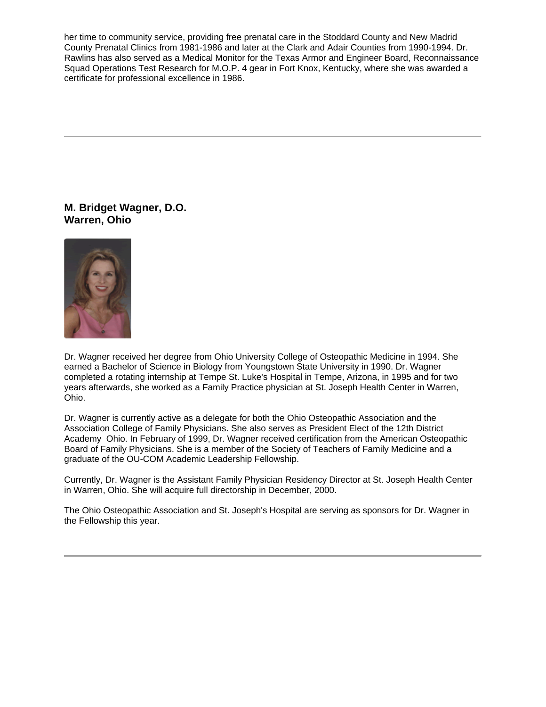her time to community service, providing free prenatal care in the Stoddard County and New Madrid County Prenatal Clinics from 1981-1986 and later at the Clark and Adair Counties from 1990-1994. Dr. Rawlins has also served as a Medical Monitor for the Texas Armor and Engineer Board, Reconnaissance Squad Operations Test Research for M.O.P. 4 gear in Fort Knox, Kentucky, where she was awarded a certificate for professional excellence in 1986.

**M. Bridget Wagner, D.O. Warren, Ohio**



Dr. Wagner received her degree from Ohio University College of Osteopathic Medicine in 1994. She earned a Bachelor of Science in Biology from Youngstown State University in 1990. Dr. Wagner completed a rotating internship at Tempe St. Luke's Hospital in Tempe, Arizona, in 1995 and for two years afterwards, she worked as a Family Practice physician at St. Joseph Health Center in Warren, Ohio.

Dr. Wagner is currently active as a delegate for both the Ohio Osteopathic Association and the Association College of Family Physicians. She also serves as President Elect of the 12th District Academy Ohio. In February of 1999, Dr. Wagner received certification from the American Osteopathic Board of Family Physicians. She is a member of the Society of Teachers of Family Medicine and a graduate of the OU-COM Academic Leadership Fellowship.

Currently, Dr. Wagner is the Assistant Family Physician Residency Director at St. Joseph Health Center in Warren, Ohio. She will acquire full directorship in December, 2000.

The Ohio Osteopathic Association and St. Joseph's Hospital are serving as sponsors for Dr. Wagner in the Fellowship this year.